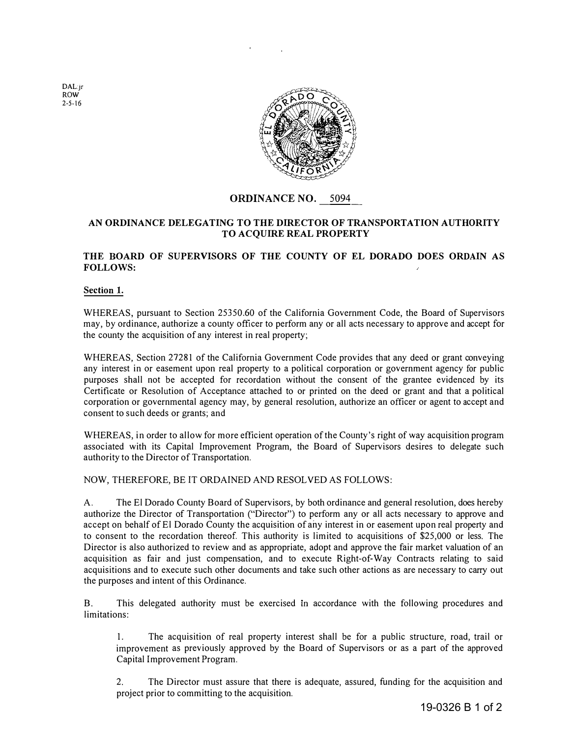DAL:jr ROW 2-5-16



# **ORDINANCE NO.** 5094

### **AN ORDINANCE DELEGATING TO THE DIRECTOR OF TRANSPORTATION AUTHORITY TO ACQUIRE REAL PROPERTY**

### **THE BOARD OF SUPERVISORS OF THE COUNTY OF EL DORADO DOES ORDAIN AS FOLLOWS:**

#### **Section 1.**

WHEREAS, pursuant to Section 25350.60 of the California Government Code, the Board of Supervisors may, by ordinance, authorize a county officer to perform any or all acts necessary to approve and accept for the county the acquisition of any interest in real property;

WHEREAS, Section 27281 of the California Government Code provides that any deed or grant conveying any interest in or easement upon real property to a political corporation or government agency for public purposes shall not be accepted for recordation without the consent of the grantee evidenced by its Certificate or Resolution of Acceptance attached to or printed on the deed or grant and that a political corporation or governmental agency may, by general resolution, authorize an officer or agent to accept and consent to such deeds or grants; and

WHEREAS, in order to allow for more efficient operation of the County's right of way acquisition program associated with its Capital Improvement Program, the Board of Supervisors desires to delegate such authority to the Director of Transportation.

NOW, THEREFORE, BE IT ORDAINED AND RESOLVED AS FOLLOWS:

A. The El Dorado County Board of Supervisors, by both ordinance and general resolution, does hereby authorize the Director of Transportation ("Director") to perform any or all acts necessary to approve and accept on behalf of El Dorado County the acquisition of any interest in or easement upon real property and to consent to the recordation thereof. This authority is limited to acquisitions of \$25,000 or less. The Director is also authorized to review and as appropriate, adopt and approve the fair market valuation of an acquisition as fair and just compensation, and to execute Right-of-Way Contracts relating to said acquisitions and to execute such other documents and take such other actions as are necessary to carry out the purposes and intent of this Ordinance.

B. This delegated authority must be exercised m accordance with the following procedures and limitations:

1. The acquisition of real property interest shall be for a public structure, road, trail or improvement as previously approved by the Board of Supervisors or as a part of the approved Capital Improvement Program.

2. The Director must assure that there is adequate, assured, funding for the acquisition and project prior to committing to the acquisition.